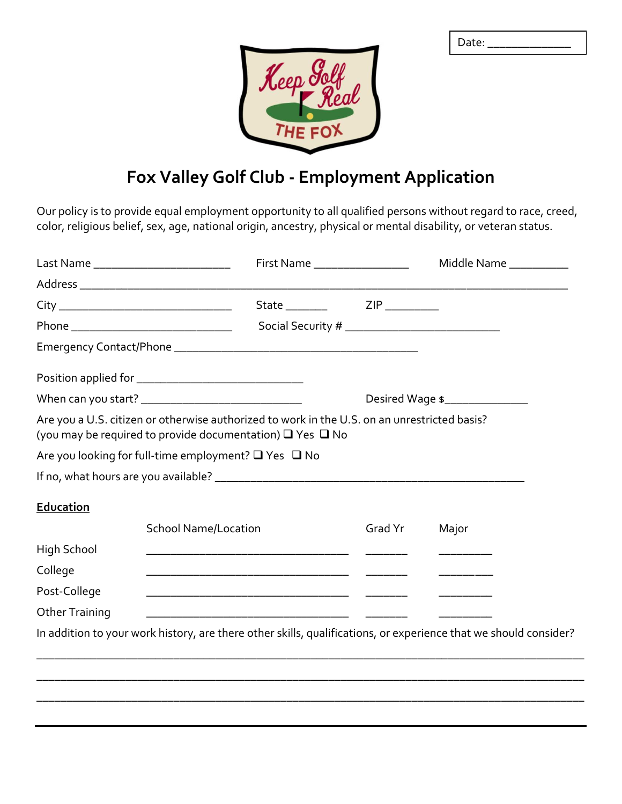| Date: |  |  |  |
|-------|--|--|--|
|       |  |  |  |
|       |  |  |  |



## **Fox Valley Golf Club - Employment Application**

Our policy is to provide equal employment opportunity to all qualified persons without regard to race, creed, color, religious belief, sex, age, national origin, ancestry, physical or mental disability, or veteran status.

|                       | Last Name _____________________________                                                                                                                             |                                                    | First Name ____________________ | Middle Name                                                                                                      |  |
|-----------------------|---------------------------------------------------------------------------------------------------------------------------------------------------------------------|----------------------------------------------------|---------------------------------|------------------------------------------------------------------------------------------------------------------|--|
|                       |                                                                                                                                                                     |                                                    |                                 |                                                                                                                  |  |
|                       |                                                                                                                                                                     |                                                    |                                 |                                                                                                                  |  |
|                       |                                                                                                                                                                     |                                                    |                                 |                                                                                                                  |  |
|                       |                                                                                                                                                                     |                                                    |                                 |                                                                                                                  |  |
|                       |                                                                                                                                                                     |                                                    |                                 |                                                                                                                  |  |
|                       | When can you start? __________________________________                                                                                                              |                                                    |                                 | Desired Wage \$                                                                                                  |  |
|                       | Are you a U.S. citizen or otherwise authorized to work in the U.S. on an unrestricted basis?<br>(you may be required to provide documentation) $\Box$ Yes $\Box$ No |                                                    |                                 |                                                                                                                  |  |
|                       | Are you looking for full-time employment? □ Yes □ No                                                                                                                |                                                    |                                 |                                                                                                                  |  |
|                       |                                                                                                                                                                     |                                                    |                                 |                                                                                                                  |  |
| <b>Education</b>      |                                                                                                                                                                     |                                                    |                                 |                                                                                                                  |  |
|                       | <b>School Name/Location</b>                                                                                                                                         |                                                    | Grad Yr                         | Major                                                                                                            |  |
| High School           |                                                                                                                                                                     |                                                    |                                 |                                                                                                                  |  |
| College               |                                                                                                                                                                     |                                                    |                                 |                                                                                                                  |  |
| Post-College          |                                                                                                                                                                     | <u> 1980 - Johann Stein, mars et al. (b. 1980)</u> |                                 |                                                                                                                  |  |
| <b>Other Training</b> |                                                                                                                                                                     |                                                    |                                 |                                                                                                                  |  |
|                       |                                                                                                                                                                     |                                                    |                                 | In addition to your work history, are there other skills, qualifications, or experience that we should consider? |  |
|                       |                                                                                                                                                                     |                                                    |                                 |                                                                                                                  |  |
|                       |                                                                                                                                                                     |                                                    |                                 |                                                                                                                  |  |
|                       |                                                                                                                                                                     |                                                    |                                 |                                                                                                                  |  |